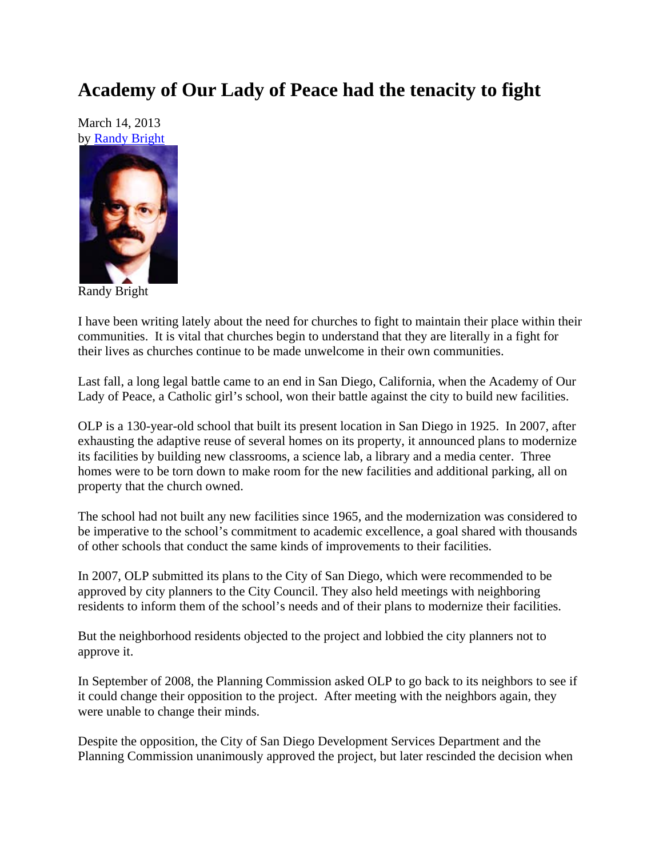## **Academy of Our Lady of Peace had the tenacity to fight**

March 14, 2013 by Randy Bright



Randy Bright

I have been writing lately about the need for churches to fight to maintain their place within their communities. It is vital that churches begin to understand that they are literally in a fight for their lives as churches continue to be made unwelcome in their own communities.

Last fall, a long legal battle came to an end in San Diego, California, when the Academy of Our Lady of Peace, a Catholic girl's school, won their battle against the city to build new facilities.

OLP is a 130-year-old school that built its present location in San Diego in 1925. In 2007, after exhausting the adaptive reuse of several homes on its property, it announced plans to modernize its facilities by building new classrooms, a science lab, a library and a media center. Three homes were to be torn down to make room for the new facilities and additional parking, all on property that the church owned.

The school had not built any new facilities since 1965, and the modernization was considered to be imperative to the school's commitment to academic excellence, a goal shared with thousands of other schools that conduct the same kinds of improvements to their facilities.

In 2007, OLP submitted its plans to the City of San Diego, which were recommended to be approved by city planners to the City Council. They also held meetings with neighboring residents to inform them of the school's needs and of their plans to modernize their facilities.

But the neighborhood residents objected to the project and lobbied the city planners not to approve it.

In September of 2008, the Planning Commission asked OLP to go back to its neighbors to see if it could change their opposition to the project. After meeting with the neighbors again, they were unable to change their minds.

Despite the opposition, the City of San Diego Development Services Department and the Planning Commission unanimously approved the project, but later rescinded the decision when